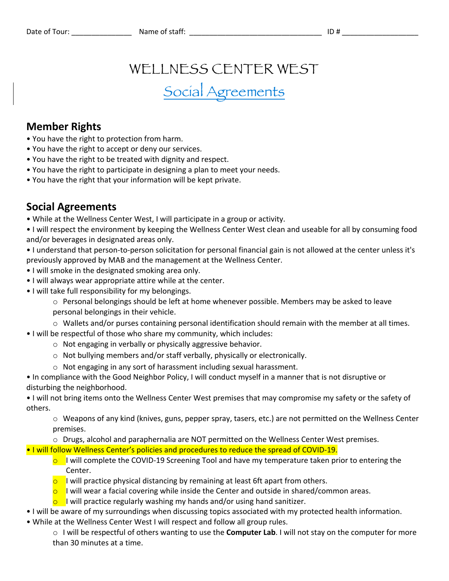## WELLNESS CENTER WEST

# Social Agreements

#### **Member Rights**

- You have the right to protection from harm.
- You have the right to accept or deny our services.
- You have the right to be treated with dignity and respect.
- You have the right to participate in designing a plan to meet your needs.
- You have the right that your information will be kept private.

### **Social Agreements**

- While at the Wellness Center West, I will participate in a group or activity.
- I will respect the environment by keeping the Wellness Center West clean and useable for all by consuming food and/or beverages in designated areas only.
- I understand that person-to-person solicitation for personal financial gain is not allowed at the center unless it's previously approved by MAB and the management at the Wellness Center.
- I will smoke in the designated smoking area only.
- I will always wear appropriate attire while at the center.
- I will take full responsibility for my belongings.
	- $\circ$  Personal belongings should be left at home whenever possible. Members may be asked to leave personal belongings in their vehicle.
	- $\circ$  Wallets and/or purses containing personal identification should remain with the member at all times.
- I will be respectful of those who share my community, which includes:
	- o Not engaging in verbally or physically aggressive behavior.
	- o Not bullying members and/or staff verbally, physically or electronically.
	- o Not engaging in any sort of harassment including sexual harassment.
- In compliance with the Good Neighbor Policy, I will conduct myself in a manner that is not disruptive or disturbing the neighborhood.
- I will not bring items onto the Wellness Center West premises that may compromise my safety or the safety of others.
	- o Weapons of any kind (knives, guns, pepper spray, tasers, etc.) are not permitted on the Wellness Center premises.
	- o Drugs, alcohol and paraphernalia are NOT permitted on the Wellness Center West premises.
- I will follow Wellness Center's policies and procedures to reduce the spread of COVID-19.
	- $\circ$  I will complete the COVID-19 Screening Tool and have my temperature taken prior to entering the Center.
	- $\circ$  I will practice physical distancing by remaining at least 6ft apart from others.
	- $\circ$  I will wear a facial covering while inside the Center and outside in shared/common areas.
	- $\circ$  I will practice regularly washing my hands and/or using hand sanitizer.
- I will be aware of my surroundings when discussing topics associated with my protected health information.
- While at the Wellness Center West I will respect and follow all group rules.
	- o I will be respectful of others wanting to use the **Computer Lab**. I will not stay on the computer for more than 30 minutes at a time.